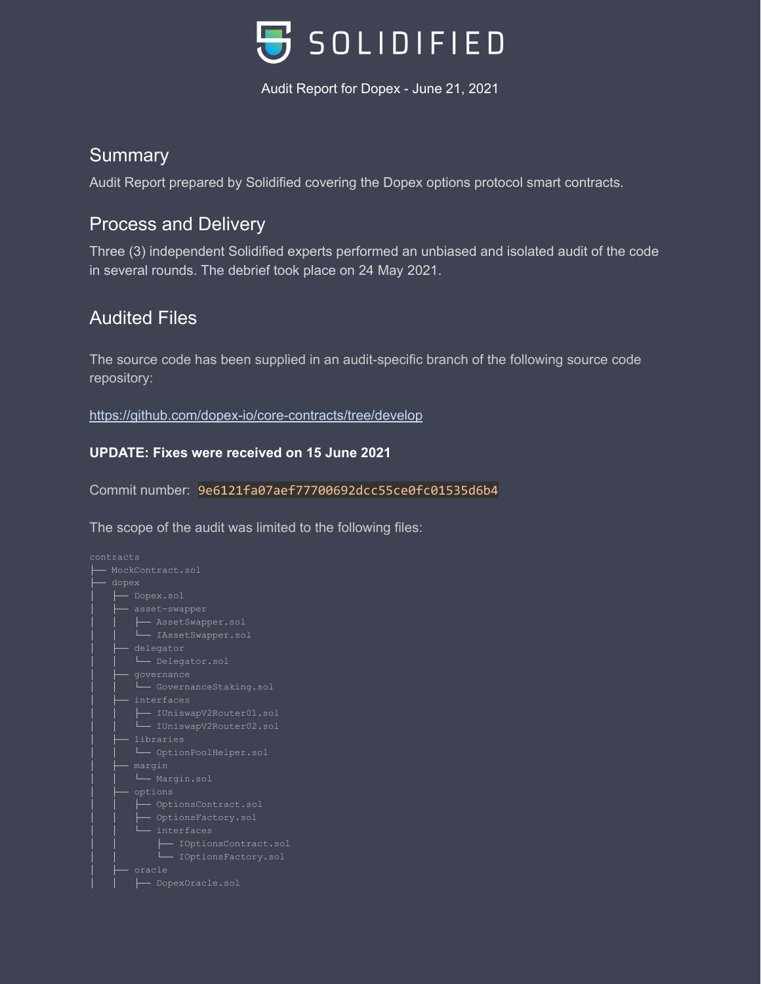

### **Summary**

Audit Report prepared by Solidified covering the Dopex options protocol smart contracts.

## Process and Delivery

Three (3) independent Solidified experts performed an unbiased and isolated audit of the code in several rounds. The debrief took place on 24 May 2021.

# Audited Files

The source code has been supplied in an audit-specific branch of the following source code repository:

<https://github.com/dopex-io/core-contracts/tree/develop>

### **UPDATE: Fixes were received on 15 June 2021**

Commit number: 9e6121fa07aef77700692dcc55ce0fc01535d6b4

The scope of the audit was limited to the following files:

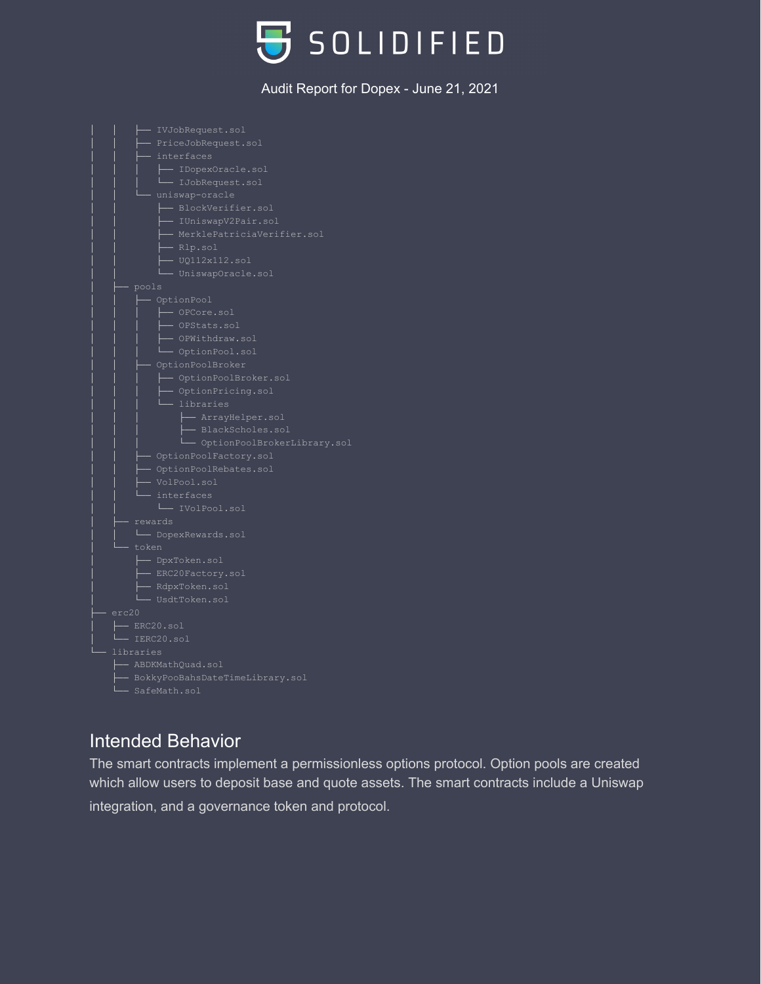



### Intended Behavior

The smart contracts implement a permissionless options protocol. Option pools are created which allow users to deposit base and quote assets. The smart contracts include a Uniswap integration, and a governance token and protocol.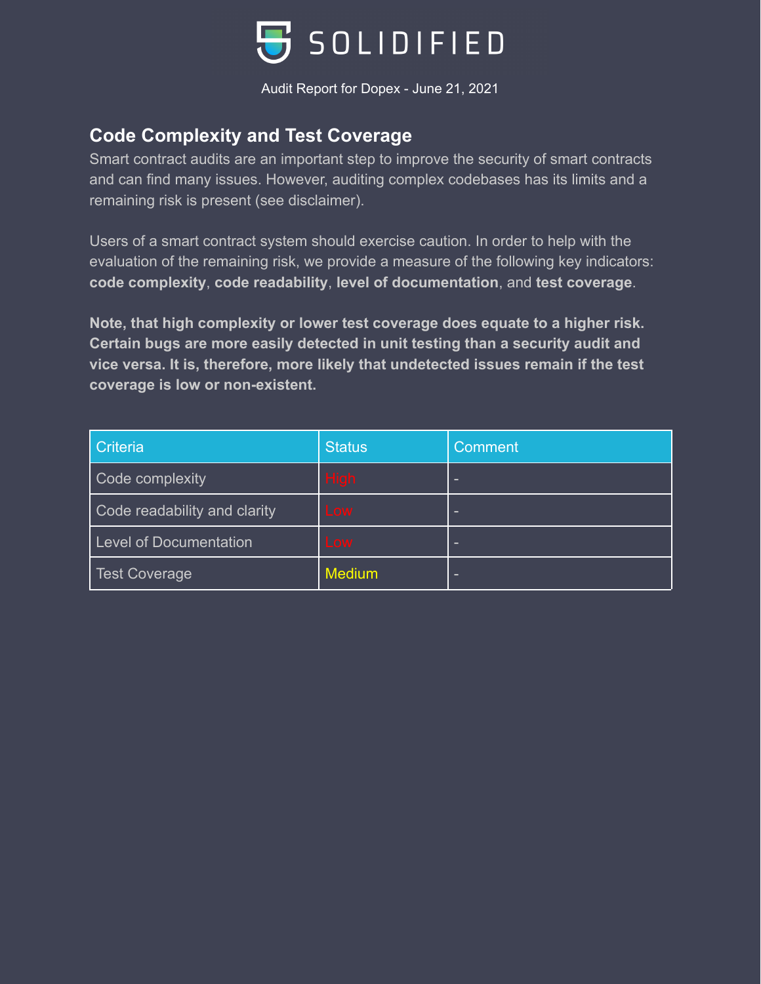

## **Code Complexity and Test Coverage**

Smart contract audits are an important step to improve the security of smart contracts and can find many issues. However, auditing complex codebases has its limits and a remaining risk is present (see disclaimer).

Users of a smart contract system should exercise caution. In order to help with the evaluation of the remaining risk, we provide a measure of the following key indicators: **code complexity**, **code readability**, **level of documentation**, and **test coverage**.

**Note, that high complexity or lower test coverage does equate to a higher risk. Certain bugs are more easily detected in unit testing than a security audit and vice versa. It is, therefore, more likely that undetected issues remain if the test coverage is low or non-existent.**

| Criteria                      | <b>Status</b> | Comment |
|-------------------------------|---------------|---------|
| Code complexity               | <b>High</b>   | -       |
| Code readability and clarity  | Low           | -       |
| <b>Level of Documentation</b> | Low           | -       |
| <b>Test Coverage</b>          | <b>Medium</b> | -       |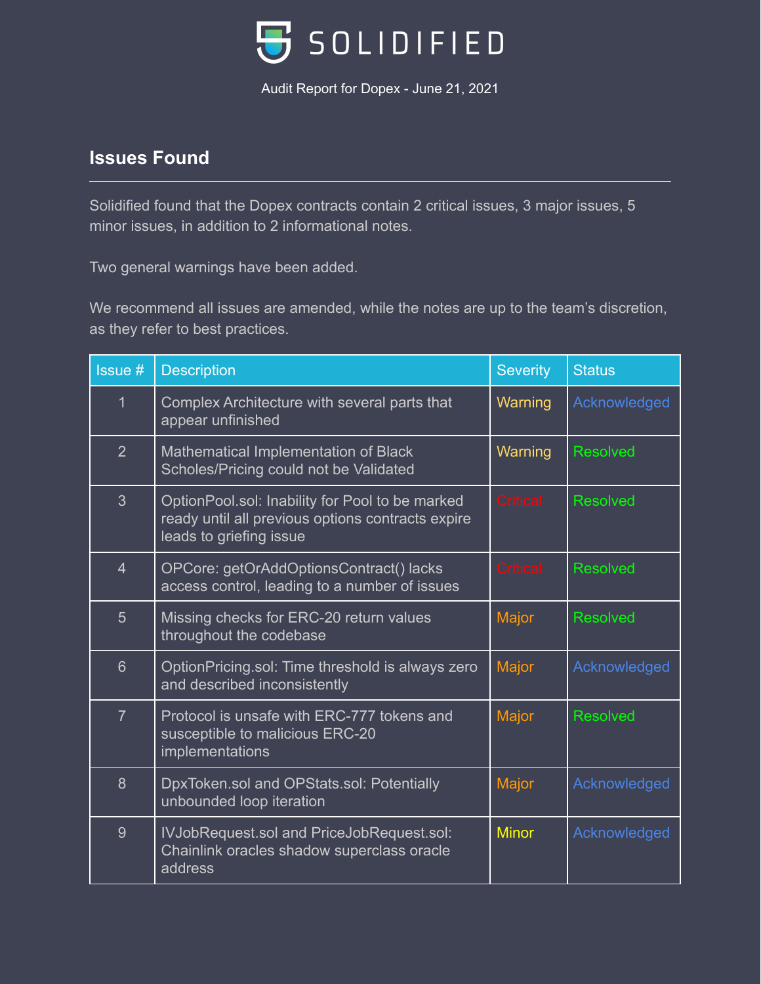

# **Issues Found**

Solidified found that the Dopex contracts contain 2 critical issues, 3 major issues, 5 minor issues, in addition to 2 informational notes.

Two general warnings have been added.

We recommend all issues are amended, while the notes are up to the team's discretion, as they refer to best practices.

| <b>Issue#</b>   | <b>Description</b>                                                                                                              | <b>Severity</b> | <b>Status</b>   |
|-----------------|---------------------------------------------------------------------------------------------------------------------------------|-----------------|-----------------|
| 1               | Complex Architecture with several parts that<br>appear unfinished                                                               | Warning         | Acknowledged    |
| $\overline{2}$  | Mathematical Implementation of Black<br>Scholes/Pricing could not be Validated                                                  | Warning         | <b>Resolved</b> |
| $\overline{3}$  | OptionPool.sol: Inability for Pool to be marked<br>ready until all previous options contracts expire<br>leads to griefing issue | <b>Critical</b> | <b>Resolved</b> |
| $\overline{4}$  | OPCore: getOrAddOptionsContract() lacks<br>access control, leading to a number of issues                                        | <b>Critical</b> | <b>Resolved</b> |
| $5\overline{)}$ | Missing checks for ERC-20 return values<br>throughout the codebase                                                              | Major           | <b>Resolved</b> |
| $6\overline{6}$ | OptionPricing.sol: Time threshold is always zero<br>and described inconsistently                                                | Major           | Acknowledged    |
| $\overline{7}$  | Protocol is unsafe with ERC-777 tokens and<br>susceptible to malicious ERC-20<br>implementations                                | Major           | <b>Resolved</b> |
| 8               | DpxToken.sol and OPStats.sol: Potentially<br>unbounded loop iteration                                                           | Major           | Acknowledged    |
| 9               | IVJobRequest.sol and PriceJobRequest.sol:<br>Chainlink oracles shadow superclass oracle<br>address                              | <b>Minor</b>    | Acknowledged    |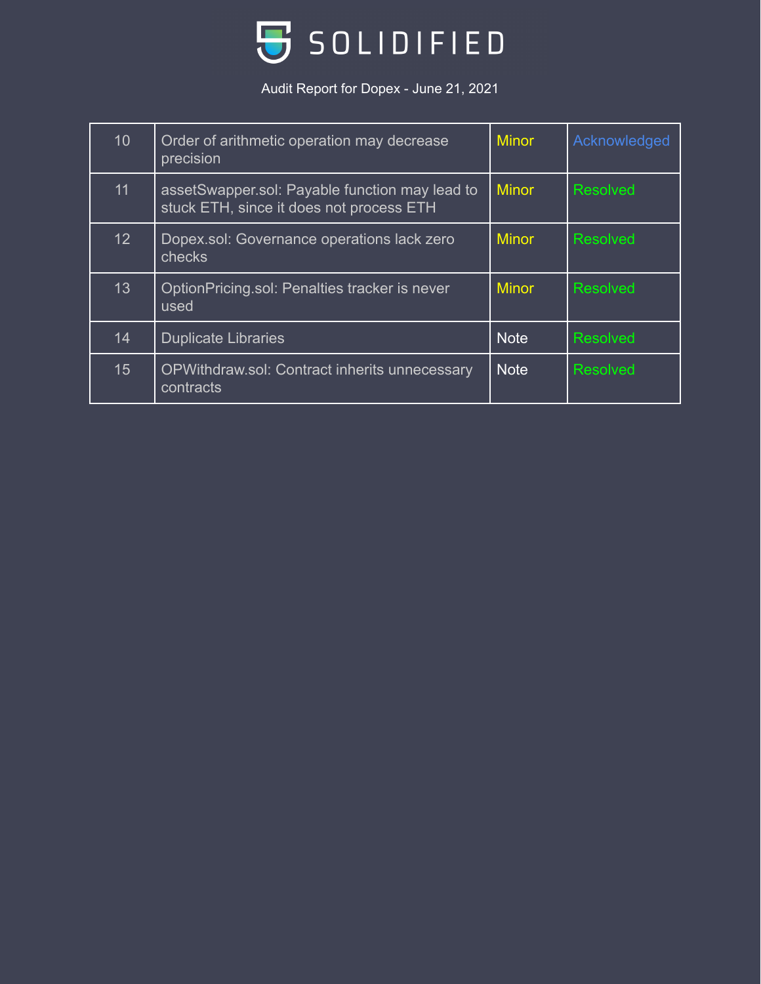

| 10              | Order of arithmetic operation may decrease<br>precision                                    | <b>Minor</b> | Acknowledged    |
|-----------------|--------------------------------------------------------------------------------------------|--------------|-----------------|
| 11              | assetSwapper.sol: Payable function may lead to<br>stuck ETH, since it does not process ETH | <b>Minor</b> | <b>Resolved</b> |
| 12 <sub>2</sub> | Dopex.sol: Governance operations lack zero<br>checks                                       | <b>Minor</b> | <b>Resolved</b> |
| 13              | OptionPricing.sol: Penalties tracker is never<br>used                                      | <b>Minor</b> | <b>Resolved</b> |
| 14              | <b>Duplicate Libraries</b>                                                                 | <b>Note</b>  | <b>Resolved</b> |
| 15              | OPWithdraw.sol: Contract inherits unnecessary<br>contracts                                 | <b>Note</b>  | <b>Resolved</b> |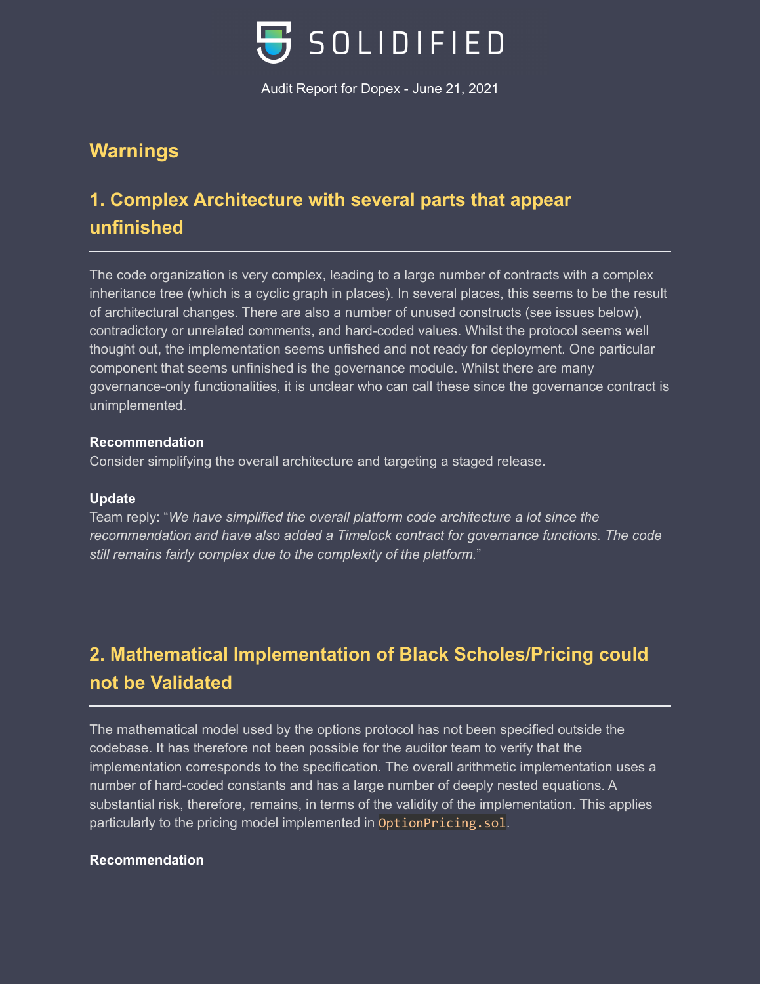

# **Warnings**

# **1. Complex Architecture with several parts that appear unfinished**

The code organization is very complex, leading to a large number of contracts with a complex inheritance tree (which is a cyclic graph in places). In several places, this seems to be the result of architectural changes. There are also a number of unused constructs (see issues below), contradictory or unrelated comments, and hard-coded values. Whilst the protocol seems well thought out, the implementation seems unfished and not ready for deployment. One particular component that seems unfinished is the governance module. Whilst there are many governance-only functionalities, it is unclear who can call these since the governance contract is unimplemented.

### **Recommendation**

Consider simplifying the overall architecture and targeting a staged release.

### **Update**

Team reply: "*We have simplified the overall platform code architecture a lot since the recommendation and have also added a Timelock contract for governance functions. The code still remains fairly complex due to the complexity of the platform.*"

# **2. Mathematical Implementation of Black Scholes/Pricing could not be Validated**

The mathematical model used by the options protocol has not been specified outside the codebase. It has therefore not been possible for the auditor team to verify that the implementation corresponds to the specification. The overall arithmetic implementation uses a number of hard-coded constants and has a large number of deeply nested equations. A substantial risk, therefore, remains, in terms of the validity of the implementation. This applies particularly to the pricing model implemented in OptionPricing.sol.

### **Recommendation**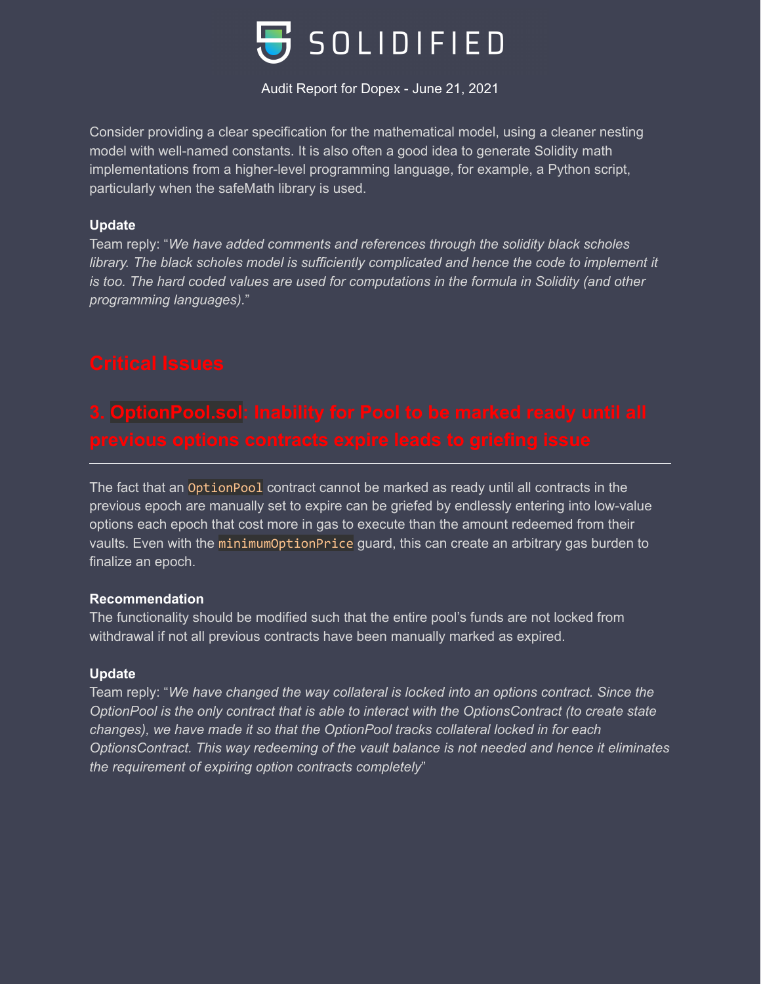

Consider providing a clear specification for the mathematical model, using a cleaner nesting model with well-named constants. It is also often a good idea to generate Solidity math implementations from a higher-level programming language, for example, a Python script, particularly when the safeMath library is used.

### **Update**

Team reply: "*We have added comments and references through the solidity black scholes library. The black scholes model is sufficiently complicated and hence the code to implement it is too. The hard coded values are used for computations in the formula in Solidity (and other programming languages).*"

The fact that an OptionPool contract cannot be marked as ready until all contracts in the previous epoch are manually set to expire can be griefed by endlessly entering into low-value options each epoch that cost more in gas to execute than the amount redeemed from their vaults. Even with the minimumOptionPrice guard, this can create an arbitrary gas burden to finalize an epoch.

### **Recommendation**

The functionality should be modified such that the entire pool's funds are not locked from withdrawal if not all previous contracts have been manually marked as expired.

### **Update**

Team reply: "*We have changed the way collateral is locked into an options contract. Since the OptionPool is the only contract that is able to interact with the OptionsContract (to create state changes), we have made it so that the OptionPool tracks collateral locked in for each OptionsContract. This way redeeming of the vault balance is not needed and hence it eliminates the requirement of expiring option contracts completely*"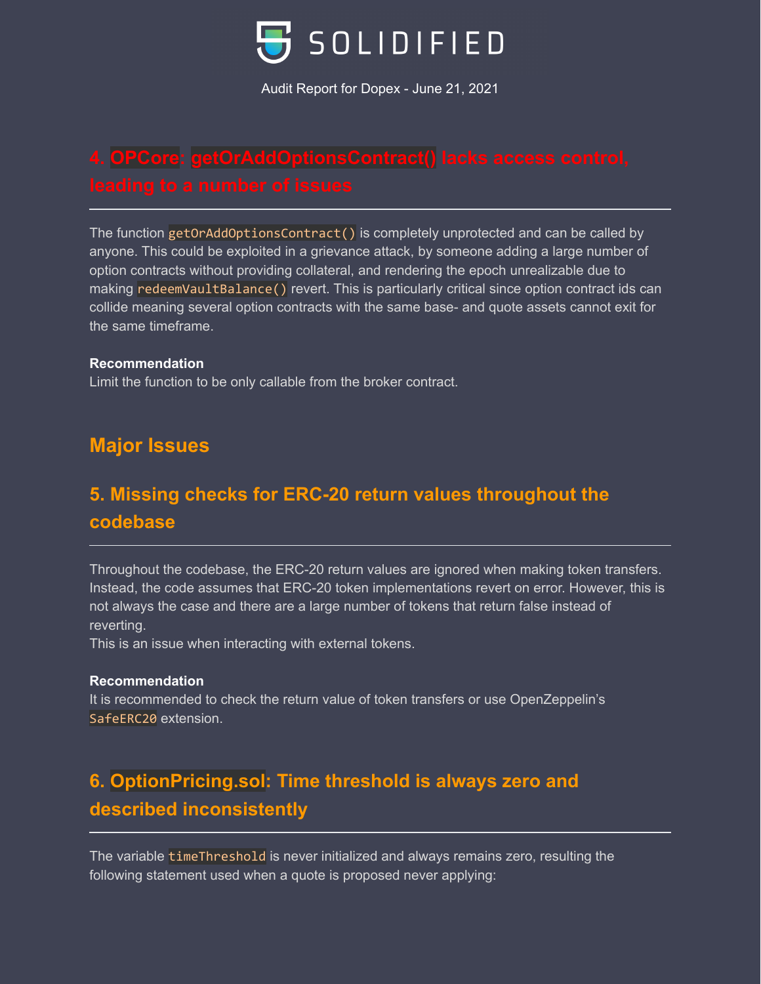

The function getOrAddOptionsContract() is completely unprotected and can be called by anyone. This could be exploited in a grievance attack, by someone adding a large number of option contracts without providing collateral, and rendering the epoch unrealizable due to making redeemVaultBalance() revert. This is particularly critical since option contract ids can collide meaning several option contracts with the same base- and quote assets cannot exit for the same timeframe.

### **Recommendation**

Limit the function to be only callable from the broker contract.

# **Major Issues**

# **5. Missing checks for ERC-20 return values throughout the codebase**

Throughout the codebase, the ERC-20 return values are ignored when making token transfers. Instead, the code assumes that ERC-20 token implementations revert on error. However, this is not always the case and there are a large number of tokens that return false instead of reverting.

This is an issue when interacting with external tokens.

### **Recommendation**

It is recommended to check the return value of token transfers or use OpenZeppelin's SafeERC20 extension.

# **6. OptionPricing.sol: Time threshold is always zero and described inconsistently**

The variable timeThreshold is never initialized and always remains zero, resulting the following statement used when a quote is proposed never applying: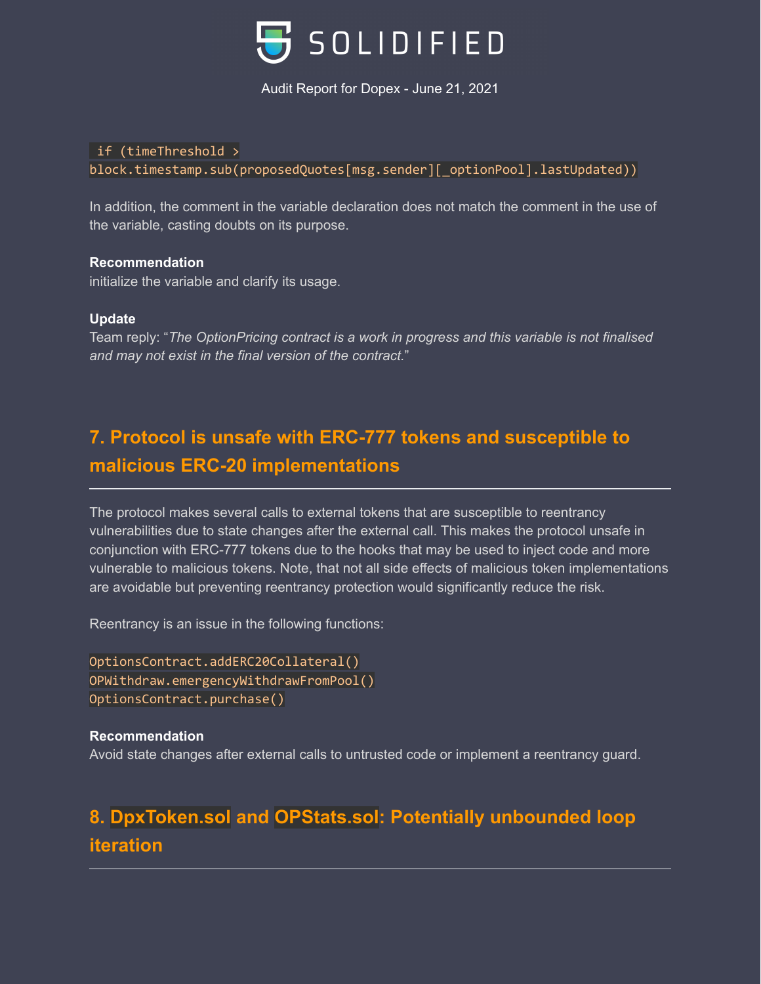

### if (timeThreshold >

block.timestamp.sub(proposedQuotes[msg.sender][\_optionPool].lastUpdated))

In addition, the comment in the variable declaration does not match the comment in the use of the variable, casting doubts on its purpose.

### **Recommendation**

initialize the variable and clarify its usage.

### **Update**

Team reply: "*The OptionPricing contract is a work in progress and this variable is not finalised and may not exist in the final version of the contract.*"

# **7. Protocol is unsafe with ERC-777 tokens and susceptible to malicious ERC-20 implementations**

The protocol makes several calls to external tokens that are susceptible to reentrancy vulnerabilities due to state changes after the external call. This makes the protocol unsafe in conjunction with ERC-777 tokens due to the hooks that may be used to inject code and more vulnerable to malicious tokens. Note, that not all side effects of malicious token implementations are avoidable but preventing reentrancy protection would significantly reduce the risk.

Reentrancy is an issue in the following functions:

```
OptionsContract.addERC20Collateral()
OPWithdraw.emergencyWithdrawFromPool()
OptionsContract.purchase()
```
### **Recommendation**

Avoid state changes after external calls to untrusted code or implement a reentrancy guard.

# **8. DpxToken.sol and OPStats.sol: Potentially unbounded loop iteration**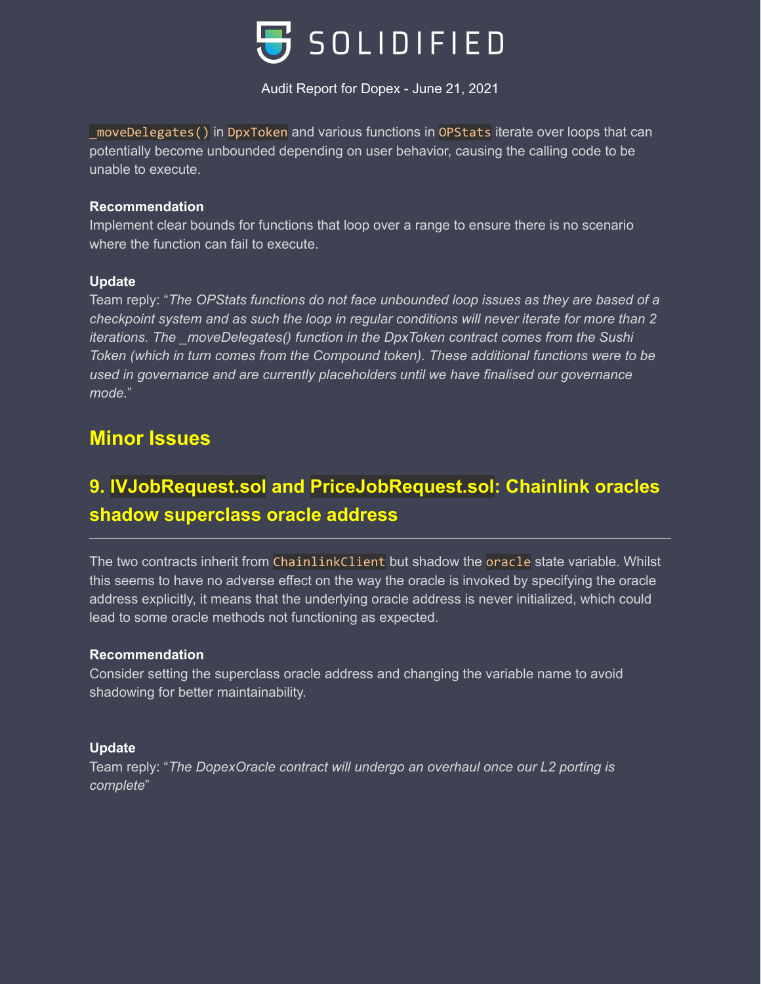

\_moveDelegates() in DpxToken and various functions in OPStats iterate over loops that can potentially become unbounded depending on user behavior, causing the calling code to be unable to execute.

### **Recommendation**

Implement clear bounds for functions that loop over a range to ensure there is no scenario where the function can fail to execute.

### **Update**

Team reply: "*The OPStats functions do not face unbounded loop issues as they are based of a checkpoint system and as such the loop in regular conditions will never iterate for more than 2 iterations. The \_moveDelegates() function in the DpxToken contract comes from the Sushi Token (which in turn comes from the Compound token). These additional functions were to be used in governance and are currently placeholders until we have finalised our governance mode.*"

### **Minor Issues**

# **9. IVJobRequest.sol and PriceJobRequest.sol: Chainlink oracles shadow superclass oracle address**

The two contracts inherit from ChainlinkClient but shadow the oracle state variable. Whilst this seems to have no adverse effect on the way the oracle is invoked by specifying the oracle address explicitly, it means that the underlying oracle address is never initialized, which could lead to some oracle methods not functioning as expected.

### **Recommendation**

Consider setting the superclass oracle address and changing the variable name to avoid shadowing for better maintainability.

### **Update**

Team reply: "*The DopexOracle contract will undergo an overhaul once our L2 porting is complete*"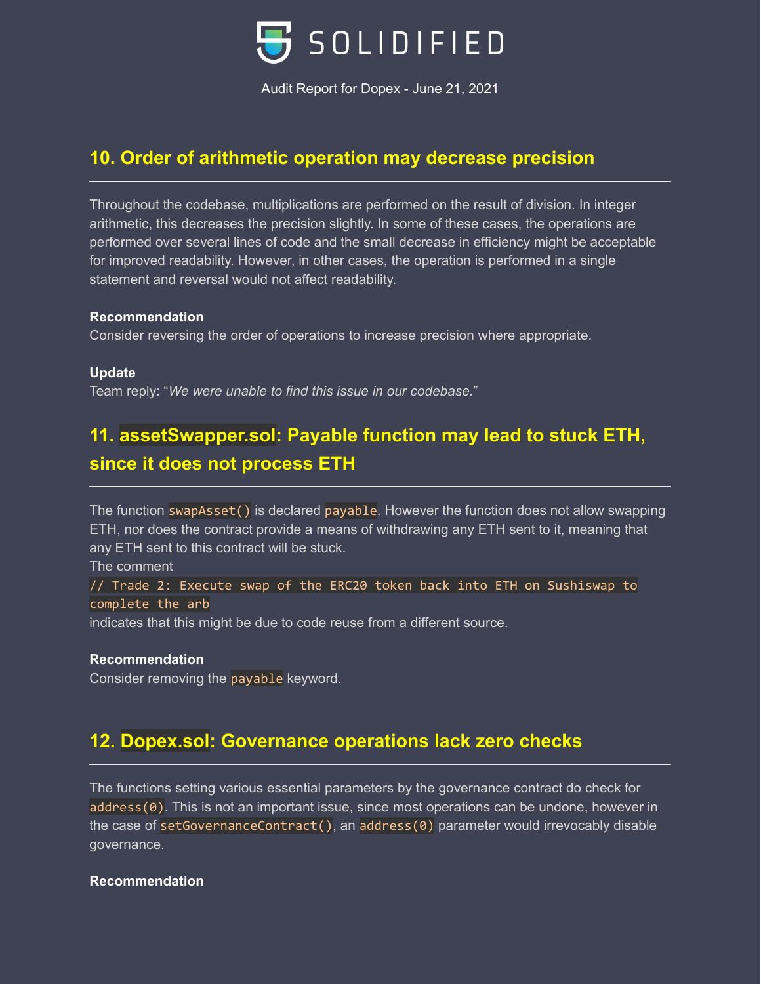

### **10. Order of arithmetic operation may decrease precision**

Throughout the codebase, multiplications are performed on the result of division. In integer arithmetic, this decreases the precision slightly. In some of these cases, the operations are performed over several lines of code and the small decrease in efficiency might be acceptable for improved readability. However, in other cases, the operation is performed in a single statement and reversal would not affect readability.

### **Recommendation**

Consider reversing the order of operations to increase precision where appropriate.

### **Update**

Team reply: "*We were unable to find this issue in our codebase.*"

# **11. assetSwapper.sol: Payable function may lead to stuck ETH, since it does not process ETH**

The function swapAsset() is declared payable. However the function does not allow swapping ETH, nor does the contract provide a means of withdrawing any ETH sent to it, meaning that any ETH sent to this contract will be stuck.

The comment

// Trade 2: Execute swap of the ERC20 token back into ETH on Sushiswap to complete the arb

indicates that this might be due to code reuse from a different source.

### **Recommendation**

Consider removing the payable keyword.

# **12. Dopex.sol: Governance operations lack zero checks**

The functions setting various essential parameters by the governance contract do check for address(0). This is not an important issue, since most operations can be undone, however in the case of setGovernanceContract(), an address(0) parameter would irrevocably disable governance.

### **Recommendation**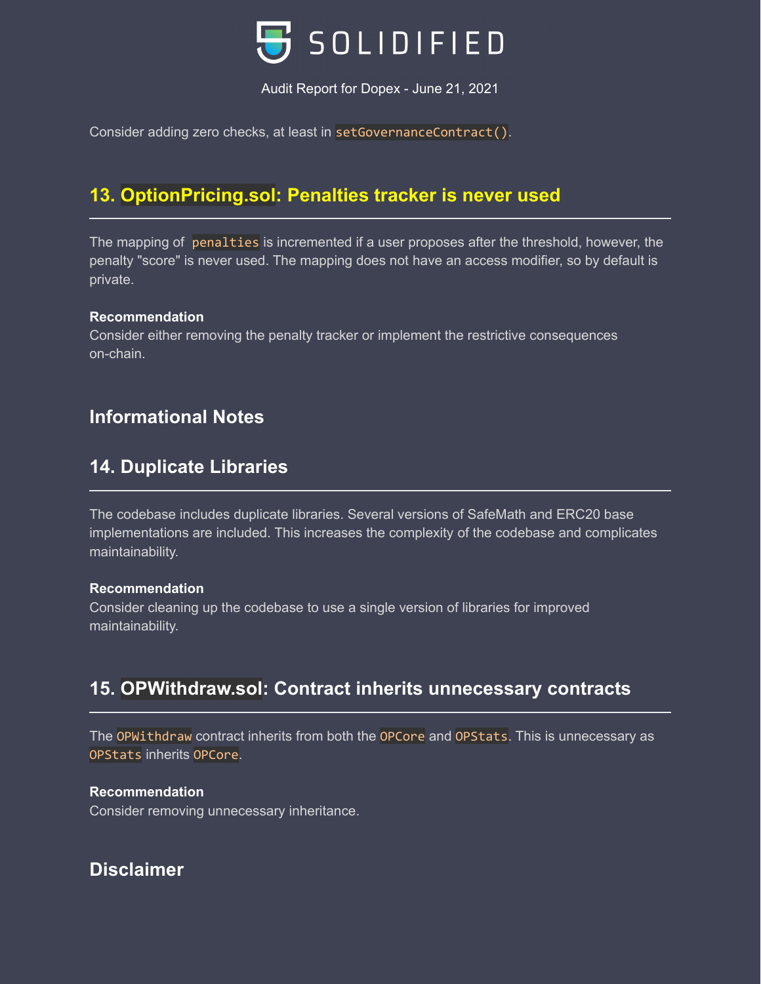

Consider adding zero checks, at least in setGovernanceContract().

# **13. OptionPricing.sol: Penalties tracker is never used**

The mapping of penalties is incremented if a user proposes after the threshold, however, the penalty "score" is never used. The mapping does not have an access modifier, so by default is private.

### **Recommendation**

Consider either removing the penalty tracker or implement the restrictive consequences on-chain.

### **Informational Notes**

### **14. Duplicate Libraries**

The codebase includes duplicate libraries. Several versions of SafeMath and ERC20 base implementations are included. This increases the complexity of the codebase and complicates maintainability.

### **Recommendation**

Consider cleaning up the codebase to use a single version of libraries for improved maintainability.

## **15. OPWithdraw.sol: Contract inherits unnecessary contracts**

The OPWithdraw contract inherits from both the OPCore and OPStats. This is unnecessary as OPStats inherits OPCore.

### **Recommendation**

Consider removing unnecessary inheritance.

### **Disclaimer**